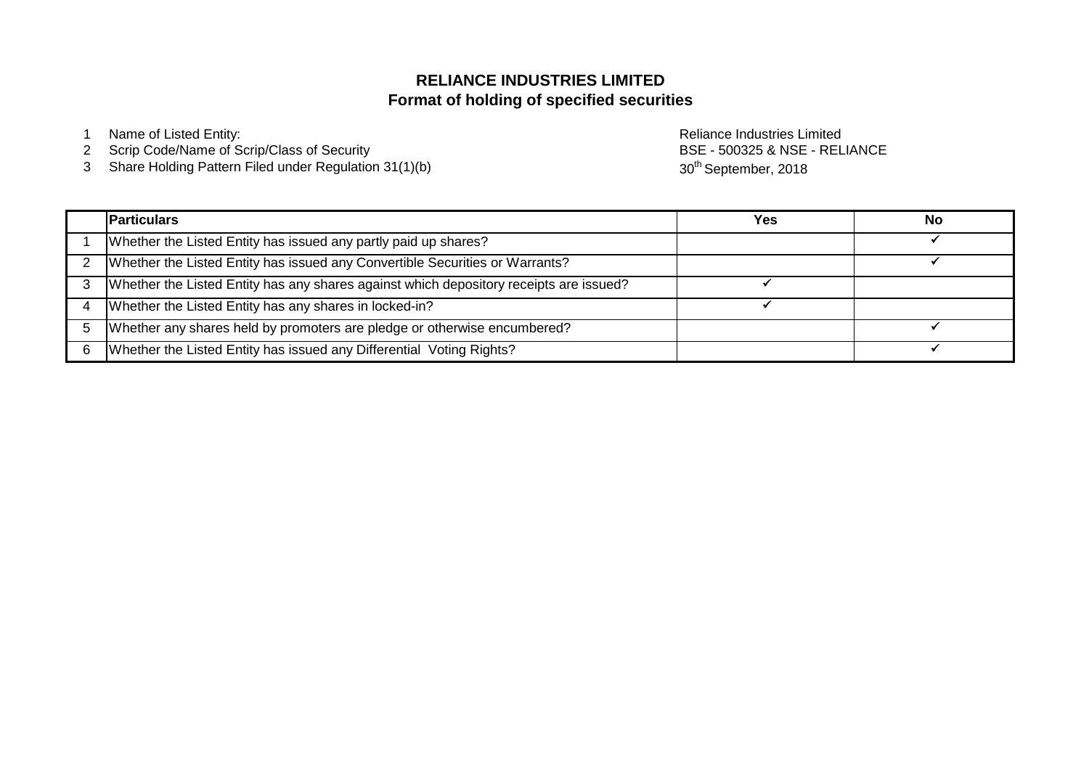# **Format of holding of specified securities RELIANCE INDUSTRIES LIMITED**

1 Name of Listed Entity: **Name of Listed Entity:** And The Control of Listed Entity: **Reliance Industries Limited** 

- 2 Scrip Code/Name of Scrip/Class of Security
- 3 Share Holding Pattern Filed under Regulation 31(1)(b)

BSE - 500325 & NSE - RELIANCE 30<sup>th</sup> September, 2018

|   | <b>Particulars</b>                                                                     | Yes | No |
|---|----------------------------------------------------------------------------------------|-----|----|
|   | Whether the Listed Entity has issued any partly paid up shares?                        |     |    |
|   | Whether the Listed Entity has issued any Convertible Securities or Warrants?           |     |    |
| 3 | Whether the Listed Entity has any shares against which depository receipts are issued? |     |    |
|   | Whether the Listed Entity has any shares in locked-in?                                 |     |    |
|   | Whether any shares held by promoters are pledge or otherwise encumbered?               |     |    |
|   | Whether the Listed Entity has issued any Differential Voting Rights?                   |     |    |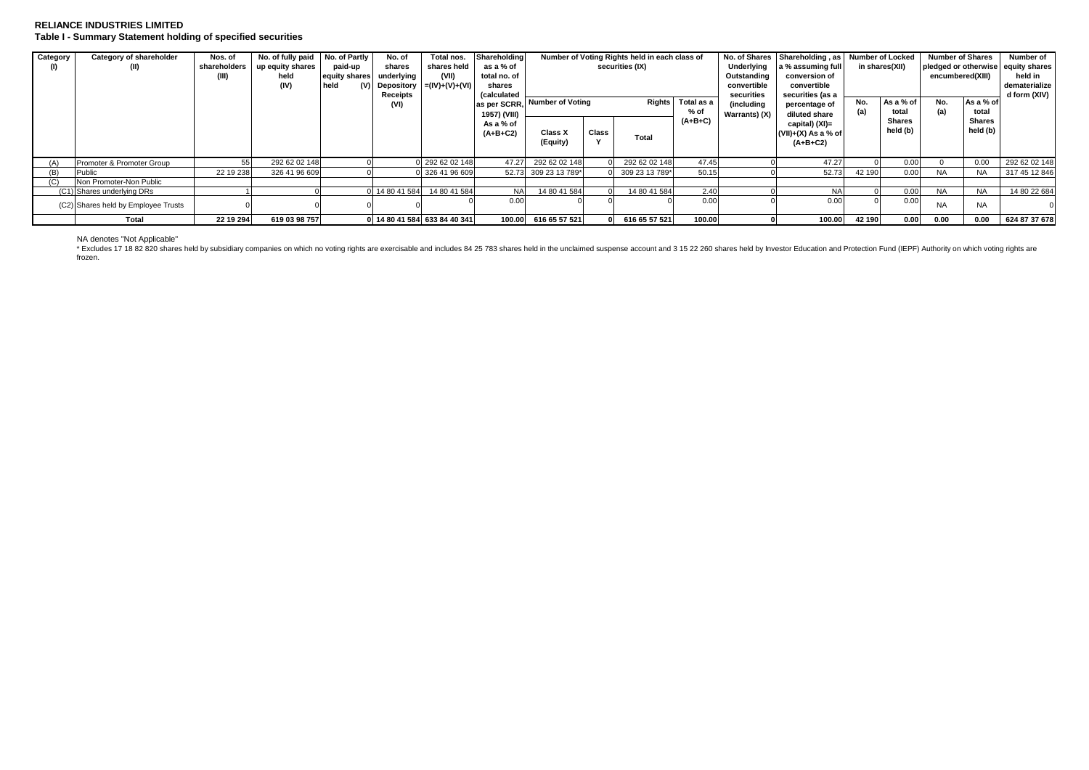### **RELIANCE INDUSTRIES LIMITED Table I - Summary Statement holding of specified securities**

| Category | Category of shareholder<br>(II)     | Nos. of<br>shareholders | No. of fully paid<br>up equity shares<br>held<br>(IV) | No. of Partly<br>paid-up<br>equity shares<br>held | No. of<br>shares<br>underlvina<br>Receipts | Total nos.<br>shares held<br>(VII)<br>(V) Depository $= (IV)+(V)+(VI)$ | Shareholding<br>as a % of<br>total no. of<br>shares<br>(calculated |                      |               | Number of Voting Rights held in each class of<br>securities (IX) |                                                   | No. of Shares<br>Underlying<br>Outstanding<br>convertible<br>securities | a % assuming full<br>conversion of<br>convertible<br>securities (as a | Shareholding, as Number of Locked<br>in shares(XII) |                    | <b>Number of Shares</b><br>pledged or otherwise equity shares<br>encumbered(XIII) |                    | Number of<br>held in<br>dematerialize<br>d form (XIV) |
|----------|-------------------------------------|-------------------------|-------------------------------------------------------|---------------------------------------------------|--------------------------------------------|------------------------------------------------------------------------|--------------------------------------------------------------------|----------------------|---------------|------------------------------------------------------------------|---------------------------------------------------|-------------------------------------------------------------------------|-----------------------------------------------------------------------|-----------------------------------------------------|--------------------|-----------------------------------------------------------------------------------|--------------------|-------------------------------------------------------|
|          |                                     |                         |                                                       |                                                   | (VI)                                       |                                                                        | as per SCRR.<br>1957) (VIII)                                       | Number of Voting     | <b>Rights</b> |                                                                  | Total as a<br>(including<br>% of<br>Warrants) (X) |                                                                         | percentage of<br>diluted share                                        | No.<br>(a)                                          | As a % of<br>total | No.<br>(a)                                                                        | As a % of<br>total |                                                       |
|          |                                     |                         |                                                       |                                                   |                                            |                                                                        | As a % of<br>$(A+B+C2)$                                            | Class X<br>(Equity)  | Class         | Total                                                            | $(A+B+C)$                                         |                                                                         | capital) (XI)=<br>$(VII)+(X)$ As a % of<br>$(A+B+C2)$                 |                                                     | Shares<br>held (b) |                                                                                   | Shares<br>held (b) |                                                       |
| (A)      | Promoter & Promoter Group           | 55                      | 292 62 02 148                                         |                                                   |                                            | 0 292 62 02 148                                                        | 47.27                                                              | 292 62 02 148        |               | 292 62 02 148                                                    | 47.45                                             |                                                                         | 47.27                                                                 |                                                     | 0.00               |                                                                                   | 0.00               | 292 62 02 148                                         |
|          | Public                              | 22 19 238               | 326 41 96 609                                         |                                                   |                                            | 0 326 41 96 609                                                        |                                                                    | 52.73 309 23 13 789* |               | 309 23 13 789*                                                   | 50.15                                             |                                                                         | 52.73                                                                 | 42 190                                              | 0.00               | <b>NA</b>                                                                         | NA                 | 317 45 12 846                                         |
| (C)      | Non Promoter-Non Public             |                         |                                                       |                                                   |                                            |                                                                        |                                                                    |                      |               |                                                                  |                                                   |                                                                         |                                                                       |                                                     |                    |                                                                                   |                    |                                                       |
|          | (C1) Shares underlying DRs          |                         |                                                       |                                                   | 14 80 41 584                               | 14 80 41 584                                                           | <b>NA</b>                                                          | 14 80 41 584         |               | 14 80 41 584                                                     | 2.40                                              |                                                                         | <b>NA</b>                                                             |                                                     | 0.00               | <b>NA</b>                                                                         | <b>NA</b>          | 14 80 22 684                                          |
|          | (C2) Shares held by Employee Trusts |                         |                                                       |                                                   |                                            |                                                                        | 0.00                                                               |                      |               |                                                                  | 0.00                                              |                                                                         | 0.00                                                                  |                                                     | 0.00               | <b>NA</b>                                                                         | <b>NA</b>          |                                                       |
|          | <b>Total</b>                        | 22 19 294               | 619 03 98 757                                         |                                                   |                                            | 0 14 80 41 584 633 84 40 341                                           | 100.00                                                             | 616 65 57 521        |               | 616 65 57 521                                                    | 100.00                                            |                                                                         | 100.00                                                                | 42 190                                              | 0.00               | 0.00                                                                              | 0.00               | 624 87 37 678                                         |

NA denotes "Not Applicable"<br>\* Excludes 17 18 82 820 shares held by subsidiary companies on which no voting rights are exercisable and includes 84 25 783 shares held in the unclaimed suspense account and 3 15 22 260 shares frozen.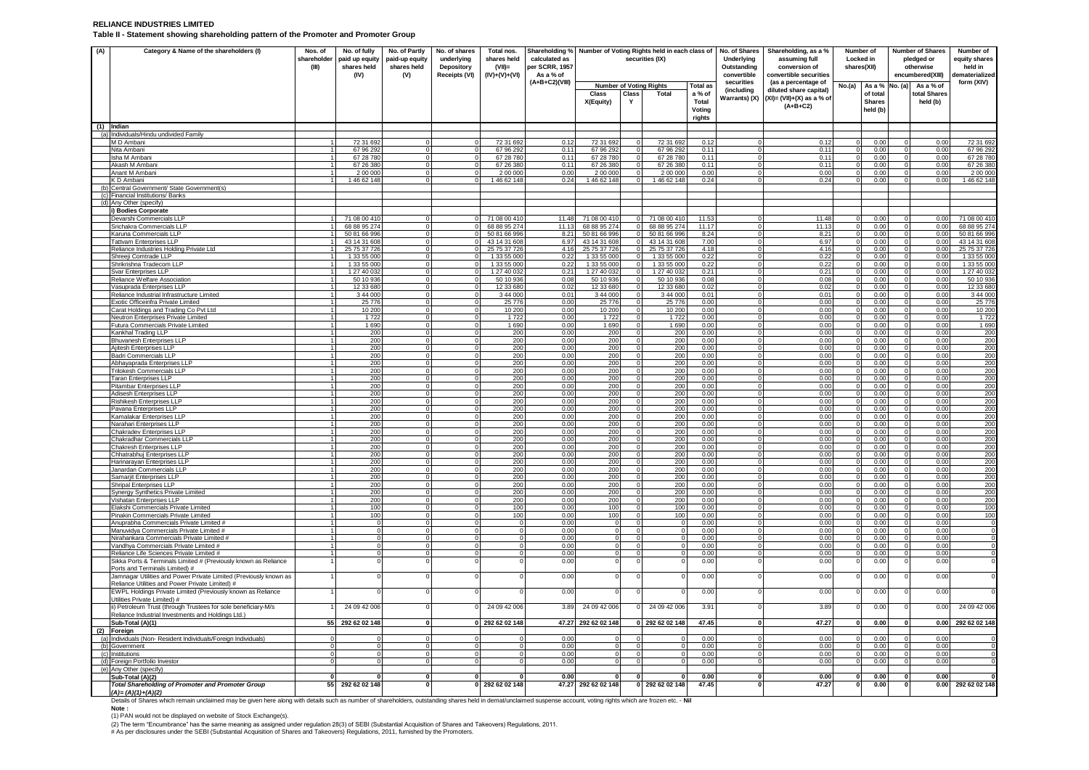#### **RELIANCE INDUSTRIES LIMITED Table II - Statement showing shareholding pattern of the Promoter and Promoter Group**

| (A)<br>Category & Name of the shareholders (I)<br>Nos. of<br>shareholder<br>(III)                 |                                  | No. of fully<br>paid up equity<br>shares held<br>(IV) | No. of Partly<br>paid-up equity<br>shares held<br>(V) | No. of shares<br>underlying<br>Depository<br>Receipts (VI) | Total nos.<br>shares held<br>$(VII)$ =<br>$(IV)+(V)+(VI)$ | Shareholding % Number of Voting Rights held in each class of No. of Shares<br>calculated as<br>per SCRR, 1957<br>As a % of |                              |                               | securities (IX)                |                           | Underlying<br>Outstanding<br>convertible | Shareholding, as a %<br>assuming full<br>conversion of<br>convertible securities | Number of<br>Locked in<br>shares(XII) |                           | Number of Shares<br>pledged or<br>otherwise<br>encumbered(XIII) |              | Number of<br>equity shares<br>held in<br>lematerialized |
|---------------------------------------------------------------------------------------------------|----------------------------------|-------------------------------------------------------|-------------------------------------------------------|------------------------------------------------------------|-----------------------------------------------------------|----------------------------------------------------------------------------------------------------------------------------|------------------------------|-------------------------------|--------------------------------|---------------------------|------------------------------------------|----------------------------------------------------------------------------------|---------------------------------------|---------------------------|-----------------------------------------------------------------|--------------|---------------------------------------------------------|
|                                                                                                   |                                  |                                                       |                                                       |                                                            |                                                           | (A+B+C2)(VIII)                                                                                                             |                              |                               | <b>Number of Voting Rights</b> | <b>Total as</b>           | securities                               | (as a percentage of                                                              | No.(a)                                | As a % No. (a)            |                                                                 | As a % of    | form (XIV)                                              |
|                                                                                                   |                                  |                                                       |                                                       |                                                            |                                                           |                                                                                                                            | Class                        | Class                         | Total                          | a % of                    | (including                               | diluted share capital)                                                           |                                       | of total                  |                                                                 | total Shares |                                                         |
|                                                                                                   |                                  |                                                       |                                                       |                                                            |                                                           |                                                                                                                            | X(Equity)                    | Y                             |                                | Total<br>Voting<br>rights | Warrants) (X)                            | $(XI) = (VII)+(X)$ as a % of<br>$(A+B+C2)$                                       |                                       | <b>Shares</b><br>held (b) |                                                                 | held (b)     |                                                         |
| (1) Indian                                                                                        |                                  |                                                       |                                                       |                                                            |                                                           |                                                                                                                            |                              |                               |                                |                           |                                          |                                                                                  |                                       |                           |                                                                 |              |                                                         |
| (a) Individuals/Hindu undivided Family                                                            |                                  |                                                       |                                                       |                                                            |                                                           |                                                                                                                            |                              |                               |                                |                           |                                          |                                                                                  |                                       |                           |                                                                 |              |                                                         |
| M D Ambani<br>Nita Ambani                                                                         |                                  | 72 31 692<br>67 96 292                                |                                                       | $\Omega$<br>$\Omega$                                       | 72 31 692<br>67 96 292                                    | 0.12<br>0.11                                                                                                               | 72 31 692<br>67 96 292       | $^{\circ}$<br>$\Omega$        | 72 31 692<br>67 96 292         | 0.12<br>0.11              | $\Omega$                                 | 0.12<br>0.11                                                                     |                                       | 0.00<br>0.00              |                                                                 | 0.00<br>0.00 | 72 31 69<br>67 96 29                                    |
| Isha M Ambani                                                                                     |                                  | 67 28 780                                             |                                                       | $\Omega$                                                   | 67 28 780                                                 | 0.11                                                                                                                       | 67 28 780                    | $\overline{0}$                | 67 28 780                      | 0.11                      | $\overline{0}$                           | 0.11                                                                             |                                       | 0.00                      |                                                                 | 0.00         | 67 28 78                                                |
| Akash M Amban                                                                                     |                                  | 67 26 380                                             |                                                       |                                                            | 67 26 380                                                 | 0.11                                                                                                                       | 67 26 380                    | $^{\circ}$                    | 67 26 380                      | 0.11                      | $^{\circ}$                               | $0.1^{\circ}$                                                                    |                                       | 0.00                      |                                                                 | 0.00         | 67 26 38                                                |
| Anant M Amban                                                                                     |                                  | 2 00 000                                              |                                                       | $\Omega$                                                   | 2 00 00                                                   | 0.00                                                                                                                       | 2 00 000                     | $\Omega$                      | 2 00 000                       | 0.00                      | $\overline{0}$                           | 0.00                                                                             |                                       | 0.00                      |                                                                 | 0.00         | 2 00 00                                                 |
| K D Ambani                                                                                        |                                  | 1 46 62 148                                           |                                                       | $\Omega$                                                   | 1 46 62 148                                               | 0.24                                                                                                                       | 1 46 62 148                  | $\Omega$                      | 1 46 62 148                    | 0.24                      | $\Omega$                                 | 0.24                                                                             |                                       | 0.00                      |                                                                 | 0.00         | 1 46 62 14                                              |
| (b) Central Government/ State Government(s)<br>(c)<br>Financial Institutions/ Banks               |                                  |                                                       |                                                       |                                                            |                                                           |                                                                                                                            |                              |                               |                                |                           |                                          |                                                                                  |                                       |                           |                                                                 |              |                                                         |
| (d) Any Other (specify)                                                                           |                                  |                                                       |                                                       |                                                            |                                                           |                                                                                                                            |                              |                               |                                |                           |                                          |                                                                                  |                                       |                           |                                                                 |              |                                                         |
| i) Bodies Corporate                                                                               |                                  |                                                       |                                                       |                                                            |                                                           |                                                                                                                            |                              |                               |                                |                           |                                          |                                                                                  |                                       |                           |                                                                 |              |                                                         |
| Devarshi Commercials LLP                                                                          | 11                               | 71 08 00 410                                          |                                                       |                                                            | 71 08 00 410                                              | 11.48                                                                                                                      | 71 08 00 410                 |                               | 0 71 08 00 41                  | 11.53                     |                                          | 11.48                                                                            |                                       | 0.00                      |                                                                 | 0.00         | 71 08 00 41                                             |
| Srichakra Commercials LLP<br>Karuna Commercials LLP                                               |                                  | 68 88 95 274<br>50 81 66 996                          | $\Omega$                                              | $\mathbf 0$                                                | 68 88 95 274<br>50 81 66 996                              | 11.13<br>8.21                                                                                                              | 68 88 95 274<br>50 81 66 996 | $\circ$<br>$\mathbf{0}$       | 68 88 95 274<br>50 81 66 996   | 11.17<br>8.24             | $\overline{0}$<br>o                      | 11.13<br>8.21                                                                    | $^{\circ}$                            | 0.00<br>0.00              | $^{\circ}$                                                      | 0.00<br>0.00 | 68 88 95 27<br>50 81 66 99                              |
| <b>Tattvam Enterprises LLP</b>                                                                    | $\overline{1}$                   | 43 14 31 608                                          | $\Omega$                                              | $\Omega$                                                   | 43 14 31 608                                              | 6.97                                                                                                                       | 43 14 31 608                 | $\Omega$                      | 43 14 31 608                   | 7.00                      | $\Omega$                                 | 6.97                                                                             |                                       | 0.00                      |                                                                 | 0.00         | 43 14 31 60                                             |
| Reliance Industries Holding Private Ltd                                                           | 1                                | 25 75 37 726                                          |                                                       | $\circ$                                                    | 25 75 37 726                                              | 4.16                                                                                                                       | 25 75 37 726                 | $\circ$                       | 25 75 37 726                   | 4.18                      | $\overline{0}$                           | 4.16                                                                             |                                       | 0.00                      |                                                                 | 0.00         | 25 75 37 72                                             |
| Shreeji Comtrade LLP<br>Shrikrishna Tradecom LLP                                                  |                                  | 1 33 55 000<br>1 33 55 000                            | $\Omega$                                              | $^{\circ}$<br>$\Omega$                                     | 1 33 55 000<br>1 33 55 000                                | 0.22<br>0.22                                                                                                               | 1 33 55 000<br>1 33 55 000   | $\overline{0}$<br>$\mathbf 0$ | 1 33 55 000<br>1 33 55 000     | 0.22<br>0.22              | $\overline{0}$<br>ō                      | 0.22<br>0.22                                                                     | $\Omega$                              | 0.00<br>0.00              | $\Omega$                                                        | 0.00<br>0.00 | 1 33 55 00<br>1 33 55 00                                |
| Svar Enterprises LLP                                                                              | $\overline{1}$                   | 1 27 40 032                                           | $\Omega$                                              | $\Omega$                                                   | 1 27 40 032                                               | 0.21                                                                                                                       | 1 27 40 032                  | $\circ$                       | 1 27 40 032                    | 0.21                      | $\overline{0}$                           | 0.21                                                                             |                                       | 0.00                      |                                                                 | 0.00         | 1 27 40 03                                              |
| Reliance Welfare Association                                                                      |                                  | 50 10 936                                             |                                                       | $\Omega$                                                   | 50 10 936                                                 | 0.08                                                                                                                       | 50 10 936                    | $\Omega$                      | 50 10 936                      | 0.08                      | $\overline{0}$                           | 0.08                                                                             |                                       | 0.00                      |                                                                 | 0.00         | 50 10 93                                                |
| Vasuprada Enterprises LLP                                                                         |                                  | 12 33 680                                             |                                                       | $\Omega$                                                   | 12 33 680                                                 | 0.02                                                                                                                       | 12 33 680                    | $\Omega$                      | 12 33 680                      | 0.02                      | $\mathbf{0}$                             | 0.02                                                                             |                                       | 0.00                      |                                                                 | 0.00         | 12 33 68                                                |
| Reliance Industrial Infrastructure Limited                                                        |                                  | 3 44 000                                              |                                                       | $\Omega$                                                   | 3 44 000                                                  | 0.01                                                                                                                       | 3 44 000                     | $^{\circ}$                    | 3 44 000                       | 0.01                      | $\overline{0}$                           | 0.01                                                                             |                                       | 0.00                      |                                                                 | 0.00         | 3 44 00                                                 |
| Exotic Officeinfra Private Limited<br>Carat Holdings and Trading Co Pvt Ltd                       |                                  | 25 776<br>10 200                                      |                                                       | $^{\circ}$<br>$\Omega$                                     | 25 7 7 6<br>10 200                                        | 0.00<br>0.00                                                                                                               | 25 7 7 6<br>10 200           | $\overline{0}$<br>$\mathbf 0$ | 25 776<br>10 200               | 0.00<br>0.00              | $\overline{0}$<br>$\overline{0}$         | 0.00<br>0.00                                                                     |                                       | 0.00<br>0.00              |                                                                 | 0.00<br>0.00 | 25 77<br>10 20                                          |
| Neutron Enterprises Private Limited                                                               |                                  | 1722                                                  |                                                       | $^{\circ}$                                                 | 1722                                                      | 0.00                                                                                                                       | 1722                         | $\mathbf{0}$                  | 1722                           | 0.00                      | $\overline{0}$                           | 0.00                                                                             |                                       | 0.00                      |                                                                 | 0.00         | 1 72                                                    |
| Futura Commercials Private Limited                                                                |                                  | 1690                                                  |                                                       | $^{\circ}$                                                 | 1690                                                      | 0.00                                                                                                                       | 1 6 9 0                      | 0                             | 1690                           | 0.00                      | $\mathbf 0$                              | 0.00                                                                             |                                       | 0.00                      |                                                                 | 0.00         | 1 6 9 0                                                 |
| Kankhal Trading LLP                                                                               |                                  | 200<br>200                                            |                                                       | $\Omega$<br>$\Omega$                                       | 200<br>200                                                | 0.00<br>0.00                                                                                                               | 200<br>200                   | $\mathbf 0$<br>$\mathbf 0$    | 200<br>200                     | 0.00<br>0.00              | $\overline{0}$<br>$\overline{0}$         | 0.00<br>0.00                                                                     |                                       | 0.00<br>0.00              |                                                                 | 0.00<br>0.00 | 200                                                     |
| <b>Bhuvanesh Enterprises LLP</b><br>Ajitesh Enterprises LLP                                       |                                  | 200                                                   |                                                       | $^{\circ}$                                                 | 200                                                       | 0.00                                                                                                                       | 200                          | $\mathbf{0}$                  | 200                            | 0.00                      | $\overline{0}$                           | 0.00                                                                             |                                       | 0.00                      |                                                                 | 0.00         | 200<br>200                                              |
| Badri Commercials LLF                                                                             |                                  | 200                                                   |                                                       | C                                                          | 200                                                       | 0.00                                                                                                                       | 200                          | $\mathbf 0$                   | 200                            | 0.00                      | $\overline{0}$                           | 0.00                                                                             |                                       | 0.00                      |                                                                 | 0.00         | 200                                                     |
| Abhayaprada Enterprises LLP                                                                       |                                  | 200                                                   |                                                       | $^{\circ}$                                                 | 200                                                       | 0.00                                                                                                                       | 200                          | $\mathbf{0}$                  | 200                            | 0.00                      | $\overline{0}$                           | 0.00                                                                             |                                       | 0.00                      |                                                                 | 0.00         | 200                                                     |
| Trilokesh Commercials LLP<br><b>Taran Enterprises LLP</b>                                         |                                  | 200<br>200                                            |                                                       | $\Omega$<br>$\Omega$                                       | 200<br>200                                                | 0.00<br>0.00                                                                                                               | 200<br>200                   | $\circ$<br>$\circ$            | 200<br>200                     | 0.00<br>0.00              | $\mathbf 0$<br>$\overline{0}$            | 0.00<br>0.00                                                                     |                                       | 0.00<br>0.00              |                                                                 | 0.00<br>0.00 | 200<br>200                                              |
| Pitambar Enterprises LLP                                                                          |                                  | 200                                                   |                                                       | 0                                                          | 200                                                       | 0.00                                                                                                                       | 200                          | $^{\circ}$                    | 200                            | 0.00                      | $\overline{0}$                           | 0.00                                                                             |                                       | 0.00                      |                                                                 | 0.00         | 200                                                     |
| Adisesh Enterprises LLP                                                                           |                                  | 200                                                   |                                                       | $\mathbf 0$                                                | 200                                                       | 0.00                                                                                                                       | 200                          | $\mathbf 0$                   | 200                            | 0.00                      | $\mathbf 0$                              | 0.00                                                                             |                                       | 0.00                      |                                                                 | 0.00         | 200                                                     |
| Rishikesh Enterprises LLP                                                                         |                                  | 200                                                   |                                                       | $\Omega$                                                   | 200                                                       | 0.00                                                                                                                       | 200                          | $\Omega$                      | 200                            | 0.00                      | $\mathbf{0}$                             | 0.00                                                                             |                                       | 0.00                      |                                                                 | 0.00         | 200                                                     |
| Pavana Enterprises LLP<br>Kamalakar Enterprises LLF                                               |                                  | 200<br>200                                            |                                                       | $^{\circ}$<br>$\Omega$                                     | 200<br>200                                                | 0.00<br>0.00                                                                                                               | 200<br>200                   | $\circ$<br>$^{\circ}$         | 200<br>200                     | 0.00<br>0.00              | $\overline{0}$<br>$\overline{0}$         | 0.00<br>0.00                                                                     |                                       | 0.00<br>0.00              |                                                                 | 0.00<br>0.00 | 200<br>200                                              |
| Narahari Enterprises LLP                                                                          |                                  | 200                                                   |                                                       | $\Omega$                                                   | 200                                                       | 0.00                                                                                                                       | 200                          | $\mathbf 0$                   | 200                            | 0.00                      | $\overline{0}$                           | 0.00                                                                             |                                       | 0.00                      |                                                                 | 0.00         | 200                                                     |
| Chakradev Enterprises LLP                                                                         |                                  | 200                                                   |                                                       | $\Omega$                                                   | 200                                                       | 0.00                                                                                                                       | 200                          | $\mathbf 0$                   | 200                            | 0.00                      | $\overline{0}$                           | 0.00                                                                             |                                       | 0.00                      |                                                                 | 0.00         | 200                                                     |
| <b>Chakradhar Commercials LLP</b>                                                                 |                                  | 200                                                   |                                                       | $\Omega$                                                   | 200                                                       | 0.00                                                                                                                       | 200                          | $\circ$                       | 200                            | 0.00                      | $\mathbf 0$                              | 0.00                                                                             |                                       | 0.00                      |                                                                 | 0.00         | 200                                                     |
| Chakresh Enterprises LLP                                                                          |                                  | 200<br>200                                            |                                                       | C<br>$^{\circ}$                                            | <u>200</u><br>200                                         | 0.00<br>0.00                                                                                                               | 200<br>200                   | $\mathbf 0$<br>$\mathbf{0}$   | 200<br>200                     | 0.00<br>0.00              | $\overline{0}$<br>$\mathbf 0$            | 0.00<br>0.00                                                                     |                                       | 0.00<br>0.00              |                                                                 | 0.00<br>0.00 | 200<br>200                                              |
| Chhatrabhuj Enterprises LLP<br>Harinarayan Enterprises LLP                                        |                                  | 200                                                   |                                                       | $\Omega$                                                   | 200                                                       | 0.00                                                                                                                       | 200                          | $\overline{0}$                | 200                            | 0.00                      | ō                                        | 0.00                                                                             |                                       | 0.00                      |                                                                 | 0.00         | 200                                                     |
| Janardan Commercials LLP                                                                          |                                  | 200                                                   |                                                       | $\overline{0}$                                             | 200                                                       | 0.00                                                                                                                       | 200                          | $\mathbf{0}$                  | 200                            | 0.00                      | $\overline{0}$                           | 0.00                                                                             |                                       | 0.00                      |                                                                 | 0.00         | 200                                                     |
| Samarjit Enterprises LLP                                                                          |                                  | 200                                                   |                                                       | $^{\circ}$                                                 | 200                                                       | 0.00                                                                                                                       | 200                          | $\mathbf{0}$                  | 200                            | 0.00                      | $\overline{0}$                           | 0.00                                                                             |                                       | 0.00                      |                                                                 | 0.00         | 200                                                     |
| Shripal Enterprises LLP                                                                           |                                  | 200<br>200                                            |                                                       | $\Omega$<br>$\Omega$                                       | 200<br>200                                                | 0.00<br>0.00                                                                                                               | 200<br>200                   | $\circ$<br>$\circ$            | 200<br>200                     | 0.00<br>0.00              | $\mathbf 0$<br>$\mathbf{0}$              | 0.00<br>0.00                                                                     |                                       | 0.00<br>0.00              |                                                                 | 0.00<br>0.00 | 200<br>200                                              |
| Synergy Synthetics Private Limited<br>Vishatan Enterprises LLP                                    |                                  | 200                                                   |                                                       | $^{\circ}$                                                 | 200                                                       | 0.00                                                                                                                       | 200                          | $\circ$                       | 200                            | 0.00                      | $\overline{0}$                           | 0.00                                                                             |                                       | 0.00                      |                                                                 | 0.00         | 200                                                     |
| Elakshi Commercials Private Limited                                                               |                                  | 100                                                   |                                                       | $\Omega$                                                   | 100                                                       | 0.00                                                                                                                       | 100                          | $\mathbf 0$                   | 100                            | 0.00                      | $\Omega$                                 | 0.00                                                                             |                                       | 0.00                      |                                                                 | 0.00         | 10 <sub>C</sub>                                         |
| Pinakin Commercials Private Limited                                                               |                                  | 100                                                   |                                                       | $^{\circ}$                                                 | 100                                                       | 0.00                                                                                                                       | 100                          | $\circ$                       | 100                            | 0.00                      | $\overline{0}$                           | 0.00                                                                             |                                       | 0.00                      |                                                                 | 0.00         | 100                                                     |
| Anuprabha Commercials Private Limited #<br>Manuvidya Commercials Private Limited #                | $\overline{1}$<br>$\overline{1}$ | $^{\circ}$<br>$^{\circ}$                              |                                                       | $\Omega$<br>$^{\circ}$                                     | $\Omega$<br>$^{\circ}$                                    | 0.00<br>0.00                                                                                                               | $\Omega$<br>$\overline{0}$   | $\mathbf 0$<br>$\circ$        | $\Omega$<br>$^{\circ}$         | 0.00<br>0.00              | $\overline{0}$<br>$\mathbf 0$            | 0.00<br>0.00                                                                     | $\Omega$                              | 0.00<br>0.00              | $\Omega$                                                        | 0.00<br>0.00 |                                                         |
| Nirahankara Commercials Private Limited #                                                         |                                  | - 0                                                   |                                                       | $\Omega$                                                   | $\Omega$                                                  | 0.00                                                                                                                       | $\circ$                      | $\mathbf{0}$                  |                                | 0.00                      | $\mathbf{0}$                             | 0.00                                                                             |                                       | 0.00                      |                                                                 | 0.00         |                                                         |
| Vandhya Commercials Private Limited #                                                             |                                  | $\Omega$                                              |                                                       | $\overline{0}$                                             |                                                           | 0.00                                                                                                                       |                              | $\mathbf{0}$                  |                                | 0.00                      | $\mathbf 0$                              | 0.00                                                                             |                                       | 0.00                      |                                                                 | 0.00         |                                                         |
| Reliance Life Sciences Private Limited #                                                          | $\overline{1}$                   | $\Omega$                                              |                                                       | $\Omega$                                                   | $\Omega$                                                  | 0.00                                                                                                                       | $\overline{0}$               | $\overline{0}$                | $\Omega$                       | 0.00                      | ō                                        | 0.00                                                                             | $\Omega$                              | 0.00                      | $\Omega$                                                        | 0.00         |                                                         |
| Sikka Ports & Terminals Limited # (Previously known as Reliance<br>Ports and Terminals Limited) # |                                  |                                                       |                                                       |                                                            |                                                           | 0.00                                                                                                                       | $^{\circ}$                   | $^{\circ}$                    |                                | 0.00                      | $\Omega$                                 | 0.00                                                                             |                                       | 0.00                      |                                                                 | 0.00         |                                                         |
| Jamnagar Utilities and Power Private Limited (Previously known as                                 |                                  | $\Omega$                                              |                                                       | $\Omega$                                                   |                                                           | 0.00                                                                                                                       | $\Omega$                     | $\Omega$                      |                                | 0.00                      | $\Omega$                                 | 0.00                                                                             |                                       | 0.00                      |                                                                 | 0.00         |                                                         |
| Reliance Utilities and Power Private Limited) #                                                   |                                  |                                                       |                                                       |                                                            |                                                           |                                                                                                                            |                              |                               |                                |                           |                                          |                                                                                  |                                       |                           |                                                                 |              |                                                         |
| EWPL Holdings Private Limited (Previously known as Reliance                                       |                                  |                                                       |                                                       | $\Omega$                                                   |                                                           | 0.00                                                                                                                       | $\Omega$                     | $\mathbf 0$                   |                                | 0.00                      | $\mathbf 0$                              | 0.00                                                                             |                                       | 0.00                      |                                                                 | 0.00         |                                                         |
| Utilities Private Limited) #<br>ii) Petroleum Trust (through Trustees for sole beneficiary-M/s    |                                  | 24 09 42 006                                          |                                                       | $\Omega$                                                   | 24 09 42 006                                              | 3.89                                                                                                                       | 24 09 42 006                 | $\circ$                       | 24 09 42 006                   | 3.91                      | $\Omega$                                 | 3.89                                                                             |                                       | 0.00                      |                                                                 | 0.00         | 24 09 42 006                                            |
| Reliance Industrial Investments and Holdings Ltd.)                                                |                                  |                                                       |                                                       |                                                            |                                                           |                                                                                                                            |                              |                               |                                |                           |                                          |                                                                                  |                                       |                           |                                                                 |              |                                                         |
| Sub-Total (A)(1)                                                                                  |                                  | 55 292 62 02 148                                      |                                                       |                                                            | 0 292 62 02 148                                           |                                                                                                                            | 47.27 292 62 02 148          |                               | 0 292 62 02 148                | 47.45                     | $\mathbf{0}$                             | 47.27                                                                            |                                       | 0.00                      | $\Omega$                                                        | 0.00         | 292 62 02 148                                           |
| (2) Foreign                                                                                       |                                  |                                                       |                                                       |                                                            |                                                           |                                                                                                                            |                              |                               |                                |                           |                                          |                                                                                  |                                       |                           |                                                                 |              |                                                         |
| (a) Individuals (Non-Resident Individuals/Foreign Individuals)                                    |                                  |                                                       |                                                       |                                                            |                                                           | 0.00<br>0.00                                                                                                               |                              | $\Omega$                      |                                | 0.00                      | $^{\circ}$<br>$\overline{0}$             | 0.00                                                                             |                                       | 0.00                      |                                                                 | 0.00         |                                                         |
| (b) Government<br>(c) Institutions                                                                |                                  | $\Omega$                                              |                                                       | $\Omega$                                                   |                                                           | 0.00                                                                                                                       | $^{\circ}$<br>$\Omega$       | $^{\circ}$<br>$\circ$         |                                | 0.00<br>0.00              | $\mathbf 0$                              | 0.00<br>0.00                                                                     |                                       | 0.00<br>0.00              |                                                                 | 0.00<br>0.00 |                                                         |
| (d) Foreign Portfolio Investor                                                                    |                                  |                                                       |                                                       |                                                            |                                                           | 0.00                                                                                                                       | $\Omega$                     | $\Omega$                      |                                | 0.00                      | $\Omega$                                 | 0.00                                                                             |                                       | 0.00                      |                                                                 | 0.00         |                                                         |
| (e) Any Other (specify)                                                                           |                                  |                                                       |                                                       |                                                            |                                                           |                                                                                                                            |                              |                               |                                |                           |                                          |                                                                                  |                                       |                           |                                                                 |              |                                                         |
| Sub-Total (A)(2)                                                                                  | $\Omega$                         |                                                       | O                                                     | $\bf{0}$                                                   | U                                                         | 0.00                                                                                                                       | $\Omega$                     | 0                             |                                | 0.00                      | $\mathbf{0}$                             | 0.00                                                                             |                                       | 0.00                      | $\bf{0}$                                                        | 0.00         |                                                         |
| <b>Total Shareholding of Promoter and Promoter Group</b><br>$A = (A)(A), (A)(2)$                  | 55                               | 292 62 02 148                                         | $\mathbf{0}$                                          | 0                                                          | 292 62 02 148                                             | 47.27                                                                                                                      | 292 62 02 148                |                               | 0 292 62 02 148                | 47.45                     | $\mathbf 0$                              | 47.27                                                                            | $\bf{0}$                              | 0.00                      | $\bf{0}$                                                        | 0.00         | 292 62 02 148                                           |

A)= (A)(1)+(A)(2)<br>Details of Shares which remain unclaimed may be given here along with details such as number of shareholders, outstanding shares held in demat/unclaimed suspense account, voting rights which are frozen et

**Note :** 

(1) PAN would not be displayed on website of Stock Exchange(s).<br>(2) The term "Encumbrance" has the same meaning as assigned under regulation 28(3) of SEBI (Substantial Acquisition of Shares and Takeovers) Regulations, 2011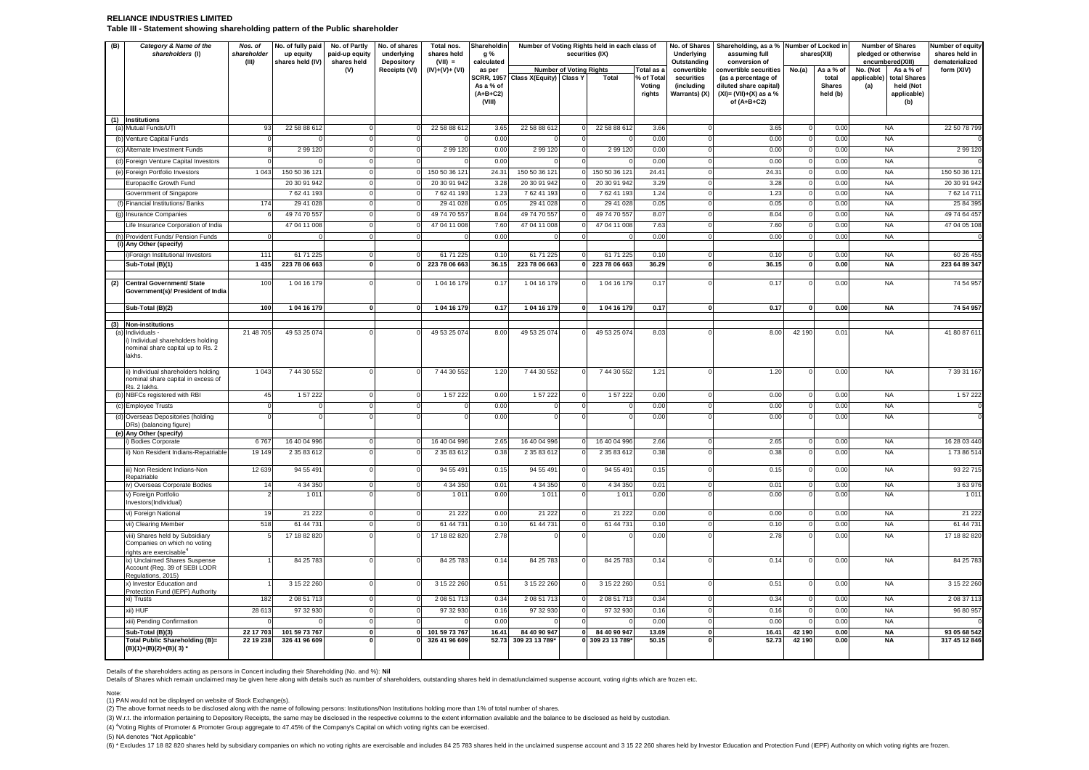## **RELIANCE INDUSTRIES LIMITED Table III - Statement showing shareholding pattern of the Public shareholder**

| (B) | Category & Name of the<br>shareholders (I)                                                             | Nos. of<br>shareholder<br>(III) | No. of fully paid<br>up equity<br>shares held (IV) | No. of Partly<br>paid-up equity<br>shares held | No. of shares<br>underlying<br><b>Depository</b> | Total nos.<br>shares held<br>$(VII) =$ | Shareholdin<br>g %<br>calculated  | Number of Voting Rights held in each class of | securities (IX)                  |                  | Underlying<br>Outstanding   | No. of Shares   Shareholding, as a %   Number of Locked in  <br>assuming full<br>conversion of |                  | shares(XII)               | <b>Number of Shares</b><br>pledged or otherwise<br>encumbered(XIII) |                                 | <b>Number of equity</b><br>shares held in<br>dematerialized |
|-----|--------------------------------------------------------------------------------------------------------|---------------------------------|----------------------------------------------------|------------------------------------------------|--------------------------------------------------|----------------------------------------|-----------------------------------|-----------------------------------------------|----------------------------------|------------------|-----------------------------|------------------------------------------------------------------------------------------------|------------------|---------------------------|---------------------------------------------------------------------|---------------------------------|-------------------------------------------------------------|
|     |                                                                                                        |                                 |                                                    | (V)                                            | Receipts (VI)                                    | (IV)+(V)+ (VI)                         | as per                            | <b>Number of Voting Rights</b>                |                                  | Total as a       | convertible                 | convertible securities                                                                         | No.(a)           | As a % of                 | No. (Not                                                            | As a % of                       | form (XIV)                                                  |
|     |                                                                                                        |                                 |                                                    |                                                |                                                  |                                        | <b>SCRR, 1957</b>                 | Class X(Equity) Class Y                       | Total                            | % of Total       | securities                  | (as a percentage of                                                                            |                  | total                     | applicable)                                                         | total Shares                    |                                                             |
|     |                                                                                                        |                                 |                                                    |                                                |                                                  |                                        | As a % of<br>$(A+B+C2)$<br>(VIII) |                                               |                                  | Voting<br>rights | (including<br>Warrants) (X) | diluted share capital)<br>$(XI) = (VII)+(X)$ as a %<br>of $(A+B+C2)$                           |                  | <b>Shares</b><br>held (b) | (a)                                                                 | held (Not<br>applicable)<br>(b) |                                                             |
|     | (1) Institutions<br>(a) Mutual Funds/UTI                                                               | 93                              | 22 58 88 612                                       |                                                |                                                  | 22 58 88 612                           | 3.65                              | 22 58 88 612                                  | 22 58 88 612                     | 3.66             | $\Omega$                    | 3.65                                                                                           |                  | 0.00                      |                                                                     | <b>NA</b>                       | 22 50 78 799                                                |
|     | (b) Venture Capital Funds                                                                              |                                 |                                                    |                                                |                                                  |                                        | 0.00                              |                                               |                                  | 0.00             | $\Omega$                    | 0.00                                                                                           |                  | 0.00                      |                                                                     | NA                              |                                                             |
|     | (c) Alternate Investment Funds                                                                         |                                 | 2 99 1 20                                          |                                                |                                                  | 2 99 1 20                              | 0.00                              | 2 99 1 20                                     | 2 99 1 20                        | 0.00             | $\Omega$                    | 0.00                                                                                           |                  | 0.00                      |                                                                     | NA                              | 2 99 1 20                                                   |
|     | (d) Foreign Venture Capital Investors                                                                  |                                 |                                                    |                                                |                                                  |                                        | 0.00                              |                                               |                                  | 0.00             | $\Omega$                    | 0.00                                                                                           |                  | 0.00                      |                                                                     | NA                              |                                                             |
|     | (e) Foreign Portfolio Investors                                                                        | 1 0 4 3                         | 150 50 36 121                                      |                                                |                                                  | 150 50 36 121                          | 24.31                             | 150 50 36 121                                 | 150 50 36 121                    | 24.41            | $\Omega$                    | 24.31                                                                                          |                  | 0.00                      |                                                                     | NA                              | 150 50 36 121                                               |
|     | Europacific Growth Fund                                                                                |                                 | 20 30 91 942                                       |                                                |                                                  | 20 30 91 942                           | 3.28                              | 20 30 91 942                                  | 20 30 91 942                     | 3.29             | $\Omega$                    | 3.28                                                                                           |                  | 0.00                      |                                                                     | <b>NA</b>                       | 20 30 91 942                                                |
|     | Government of Singapore                                                                                |                                 | 762 41 193                                         |                                                |                                                  | 762 41 193                             | 1.23                              | 762 41 193                                    | 762 41 193                       | 1.24             | $\Omega$                    | 1.23                                                                                           |                  | 0.00                      |                                                                     | <b>NA</b>                       | 762 14 711                                                  |
|     | (f) Financial Institutions/ Banks                                                                      | 174                             | 29 41 028                                          |                                                |                                                  | 29 41 028                              | 0.05                              | 29 41 028                                     | 29 41 028                        | 0.05             | $\Omega$                    | 0.05                                                                                           |                  | 0.00                      |                                                                     | <b>NA</b>                       | 25 84 395                                                   |
|     | (g) Insurance Companies                                                                                |                                 | 49 74 70 557                                       |                                                |                                                  | 49 74 70 557                           | 8.04                              | 49 74 70 557                                  | 49 74 70 557                     | 8.07             | $\Omega$                    | 8.04                                                                                           |                  | 0.00                      |                                                                     | <b>NA</b>                       | 49 74 64 457                                                |
|     | Life Insurance Corporation of India                                                                    |                                 | 47 04 11 008                                       |                                                |                                                  | 47 04 11 008                           | 7.60                              | 47 04 11 008                                  | 47 04 11 008                     | 7.63             | $\Omega$                    | 7.60                                                                                           |                  | 0.00                      |                                                                     | <b>NA</b>                       | 47 04 05 108                                                |
|     | (h) Provident Funds/ Pension Funds                                                                     | $\Omega$                        |                                                    |                                                |                                                  |                                        | 0.00                              |                                               |                                  | 0.00             | $\Omega$                    | 0.00                                                                                           |                  | 0.00                      |                                                                     | <b>NA</b>                       |                                                             |
|     | (i) Any Other (specify)                                                                                |                                 |                                                    |                                                |                                                  |                                        |                                   |                                               |                                  |                  |                             |                                                                                                |                  |                           |                                                                     |                                 |                                                             |
|     | i) Foreign Institutional Investors                                                                     | 111                             | 61 71 225                                          |                                                |                                                  | 61 71 225                              | 0.10                              | 61 71 225                                     | 61 71 225                        | 0.10             | $\Omega$                    | 0.10                                                                                           |                  | 0.00                      |                                                                     | NA.                             | 60 26 455                                                   |
|     | Sub-Total (B)(1)                                                                                       | 1435                            | 223 78 06 663                                      |                                                |                                                  | 223 78 06 663                          | 36.15                             | 223 78 06 663                                 | 223 78 06 663                    | 36.29            | $\mathbf{0}$                | 36.15                                                                                          |                  | 0.00                      |                                                                     | <b>NA</b>                       | 223 64 89 347                                               |
| (2) | <b>Central Government/ State</b><br>Government(s)/ President of India                                  | 100                             | 1 04 16 179                                        |                                                |                                                  | 1 04 16 179                            | 0.17                              | 1 04 16 179                                   | 1 04 16 179                      | 0.17             |                             | 0.17                                                                                           |                  | 0.00                      |                                                                     | <b>NA</b>                       | 74 54 957                                                   |
|     | Sub-Total (B)(2)                                                                                       | 100                             | 1 04 16 179                                        | $\mathbf{0}$                                   | $\Omega$                                         | 1 04 16 179                            | 0.17                              | 104 16 179                                    | 1 04 16 179<br>$\mathbf{0}$      | 0.17             | $\mathbf{0}$                | 0.17                                                                                           | $\Omega$         | 0.00                      |                                                                     | NA                              | 74 54 957                                                   |
|     |                                                                                                        |                                 |                                                    |                                                |                                                  |                                        |                                   |                                               |                                  |                  |                             |                                                                                                |                  |                           |                                                                     |                                 |                                                             |
| (3) | <b>Non-institutions</b><br>Individuals -                                                               | 21 48 705                       | 49 53 25 074                                       |                                                |                                                  | 49 53 25 074                           | 8.00                              | 49 53 25 074                                  | 49 53 25 074                     | 8.03             |                             | 8.00                                                                                           | 42 190           | 0.01                      |                                                                     | <b>NA</b>                       | 41 80 87 611                                                |
|     | i) Individual shareholders holding<br>nominal share capital up to Rs. 2<br>lakhs.                      |                                 |                                                    |                                                |                                                  |                                        |                                   |                                               |                                  |                  |                             |                                                                                                |                  |                           |                                                                     |                                 |                                                             |
|     | ii) Individual shareholders holding<br>nominal share capital in excess of<br>Rs. 2 lakhs.              | 1 0 4 3                         | 7 44 30 552                                        |                                                |                                                  | 7 44 30 552                            | 1.20                              | 7 44 30 552                                   | 7 44 30 552                      | 1.21             |                             | 1.20                                                                                           |                  | 0.00                      |                                                                     | <b>NA</b>                       | 7 39 31 167                                                 |
|     | (b) NBFCs registered with RBI                                                                          | 45                              | 1 57 222                                           |                                                |                                                  | 1 57 222                               | 0.00                              | 1 57 222                                      | 1 57 2 22                        | 0.00             | $\Omega$                    | 0.00                                                                                           |                  | 0.00                      |                                                                     | <b>NA</b>                       | 1 57 2 22                                                   |
|     | (c) Employee Trusts                                                                                    |                                 |                                                    |                                                |                                                  |                                        | 0.00                              |                                               |                                  | 0.00             | $\Omega$                    | 0.00                                                                                           |                  | 0.00                      |                                                                     | <b>NA</b>                       |                                                             |
|     | (d) Overseas Depositories (holding<br>DRs) (balancing figure)<br>(e) Any Other (specify)               |                                 |                                                    |                                                |                                                  |                                        | 0.00                              |                                               |                                  | 0.00             |                             | 0.00                                                                                           |                  | 0.00                      |                                                                     | <b>NA</b>                       |                                                             |
|     | i) Bodies Corporate                                                                                    | 6767                            | 16 40 04 996                                       |                                                |                                                  | 16 40 04 996                           | 2.65                              | 16 40 04 996                                  | 16 40 04 996                     | 2.66             |                             | 2.65                                                                                           |                  | 0.00                      |                                                                     | <b>NA</b>                       | 16 28 03 440                                                |
|     | ii) Non Resident Indians-Repatriable                                                                   | 19 149                          | 2 35 83 612                                        |                                                |                                                  | 2 35 83 612                            | 0.38                              | 2 35 83 612                                   | 2 35 83 612                      | 0.38             |                             | 0.38                                                                                           |                  | 0.00                      |                                                                     | NA                              | 17386514                                                    |
|     | iii) Non Resident Indians-Non<br>Repatriable                                                           | 12 639                          | 94 55 491                                          |                                                |                                                  | 94 55 491                              | 0.15                              | 94 55 491                                     | 94 55 491                        | 0.15             | $\Omega$                    | 0.15                                                                                           |                  | 0.00                      |                                                                     | <b>NA</b>                       | 93 22 715                                                   |
|     | iv) Overseas Corporate Bodies                                                                          | 14                              | 4 34 350                                           | $\Omega$                                       |                                                  | 4 34 350                               | 0.01                              | 4 34 350                                      | 4 34 350                         | 0.01             | $\Omega$                    | 0.01                                                                                           | $\Omega$         | 0.00                      |                                                                     | <b>NA</b>                       | 363976                                                      |
|     | v) Foreign Portfolio<br>Investors(Individual)                                                          |                                 | 1 0 1 1                                            |                                                |                                                  | 1 0 1 1                                | 0.00                              | 1 0 1 1                                       | 1 0 1 1                          | 0.00             |                             | 0.00                                                                                           |                  | 0.00                      |                                                                     | <b>NA</b>                       | 1 0 1 1                                                     |
|     | vi) Foreign National                                                                                   | 19                              | 21 2 22                                            | $\Omega$                                       | $\Omega$                                         | 21 222                                 | 0.00                              | 21 222                                        | 21 2 22                          | 0.00             | $\Omega$                    | 0.00                                                                                           | $\Omega$         | 0.00                      |                                                                     | NA                              | 21 2 22                                                     |
|     | vii) Clearing Member                                                                                   | 518                             | 61 44 731                                          |                                                |                                                  | 61 44 731                              | 0.10                              | 61 44 731                                     | 61 44 731                        | 0.10             | $\Omega$                    | 0.10                                                                                           |                  | 0.00                      |                                                                     | <b>NA</b>                       | 61 44 731                                                   |
|     | viii) Shares held by Subsidiary<br>Companies on which no voting<br>rights are exercisable <sup>4</sup> |                                 | 17 18 82 820                                       |                                                |                                                  | 17 18 82 820                           | 2.78                              |                                               |                                  | 0.00             |                             | 2.78                                                                                           |                  | 0.00                      |                                                                     | <b>NA</b>                       | 17 18 82 820                                                |
|     | ix) Unclaimed Shares Suspense<br>Account (Reg. 39 of SEBI LODR<br>Regulations, 2015)                   |                                 | 84 25 783                                          |                                                |                                                  | 84 25 783                              | 0.14                              | 84 25 783                                     | 84 25 783                        | 0.14             |                             | 0.14                                                                                           |                  | 0.00                      |                                                                     | NA                              | 84 25 783                                                   |
|     | x) Investor Education and<br>Protection Fund (IEPF) Authority                                          |                                 | 3 15 22 260                                        | $\Omega$                                       |                                                  | 3 15 22 260                            | 0.51                              | 3 15 22 260                                   | 3 15 22 260                      | 0.51             | $\Omega$                    | 0.51                                                                                           | $\Omega$         | 0.00                      |                                                                     | <b>NA</b>                       | 3 15 22 260                                                 |
|     | xi) Trusts                                                                                             | 182                             | 2 08 51 713                                        |                                                |                                                  | 2 08 51 713                            | 0.34                              | 2 08 51 713                                   | 2 08 51 713                      | 0.34             | $\Omega$                    | 0.34                                                                                           |                  | 0.00                      |                                                                     | <b>NA</b>                       | 2 08 37 113                                                 |
|     | xii) HUF                                                                                               | 28 613                          | 97 32 930                                          |                                                |                                                  | 97 32 930                              | 0.16                              | 97 32 930                                     | 97 32 930                        | 0.16             | $\Omega$                    | 0.16                                                                                           |                  | 0.00                      |                                                                     | <b>NA</b>                       | 96 80 957                                                   |
|     | xiii) Pending Confirmation                                                                             |                                 |                                                    |                                                |                                                  |                                        | 0.00                              |                                               |                                  | 0.00             | $\Omega$                    | 0.00                                                                                           |                  | 0.00                      |                                                                     | <b>NA</b>                       |                                                             |
|     | Sub-Total (B)(3)<br>Total Public Shareholding (B)=<br>$(B)(1)+(B)(2)+(B)(3)$ *                         | 22 17 703<br>22 19 238          | 101 59 73 767<br>326 41 96 609                     | $\Omega$                                       |                                                  | 101 59 73 767<br>326 41 96 609         | 16.41                             | 84 40 90 947<br>52.73 309 23 13 789*          | 84 40 90 947<br>0 309 23 13 789* | 13.69<br>50.15   | $\mathbf{0}$                | 16.41<br>52.73                                                                                 | 42 190<br>42 190 | 0.00<br>0.00              |                                                                     | <b>NA</b><br><b>NA</b>          | 93 05 68 542<br>317 45 12 846                               |

#### Note:

(5) NA denotes "Not Applicable"

(6) \* Excludes 17 18 82 820 shares held by subsidiary companies on which no voting rights are exercisable and includes 84 25 783 shares held in the unclaimed suspense account and 3 15 22 260 shares held by Investor Educati

(4) <sup>4</sup>Voting Rights of Promoter & Promoter Group aggregate to 47.45% of the Company's Capital on which voting rights can be exercised.

Details of the shareholders acting as persons in Concert including their Shareholding (No. and %): **Nil**

Details of Shares which remain unclaimed may be given here along with details such as number of shareholders, outstanding shares held in demat/unclaimed suspense account, voting rights which are frozen etc.

(1) PAN would not be displayed on website of Stock Exchange(s).

(2) The above format needs to be disclosed along with the name of following persons: Institutions/Non Institutions holding more than 1% of total number of shares.

(3) W.r.t. the information pertaining to Depository Receipts, the same may be disclosed in the respective columns to the extent information available and the balance to be disclosed as held by custodian.